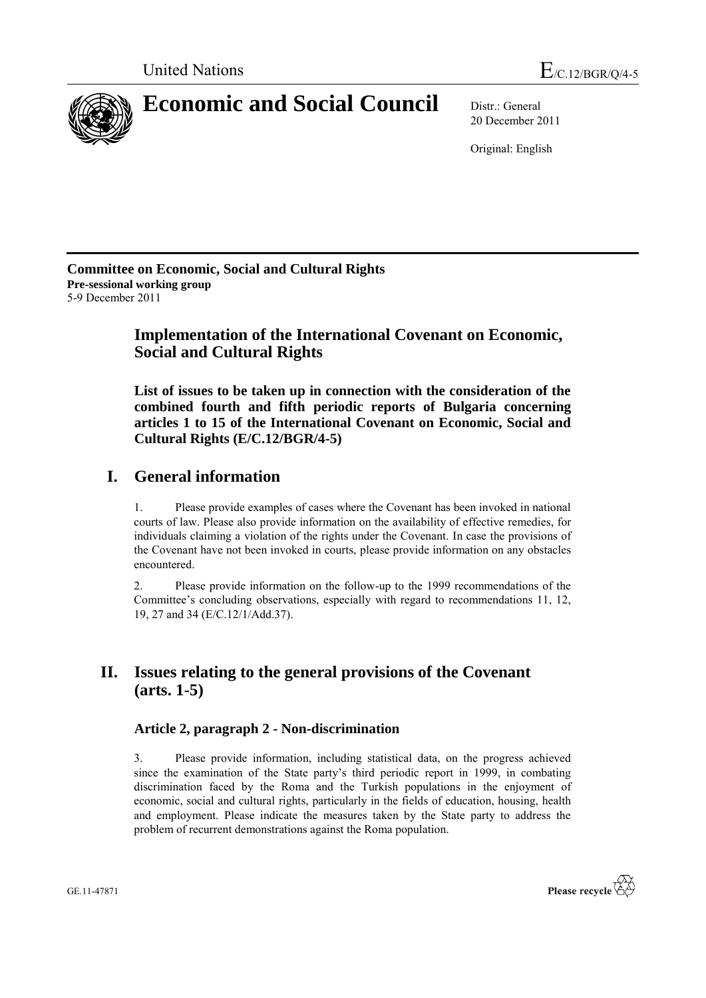

20 December 2011

Original: English

**Committee on Economic, Social and Cultural Rights Pre-sessional working group** 5-9 December 2011

# **Implementation of the International Covenant on Economic, Social and Cultural Rights**

**List of issues to be taken up in connection with the consideration of the combined fourth and fifth periodic reports of Bulgaria concerning articles 1 to 15 of the International Covenant on Economic, Social and Cultural Rights (E/C.12/BGR/4-5)**

# **I. General information**

1. Please provide examples of cases where the Covenant has been invoked in national courts of law. Please also provide information on the availability of effective remedies, for individuals claiming a violation of the rights under the Covenant. In case the provisions of the Covenant have not been invoked in courts, please provide information on any obstacles encountered.

2. Please provide information on the follow-up to the 1999 recommendations of the Committee's concluding observations, especially with regard to recommendations 11, 12, 19, 27 and 34 (E/C.12/1/Add.37).

# **II. Issues relating to the general provisions of the Covenant (arts. 1-5)**

## **Article 2, paragraph 2 - Non-discrimination**

3. Please provide information, including statistical data, on the progress achieved since the examination of the State party's third periodic report in 1999, in combating discrimination faced by the Roma and the Turkish populations in the enjoyment of economic, social and cultural rights, particularly in the fields of education, housing, health and employment. Please indicate the measures taken by the State party to address the problem of recurrent demonstrations against the Roma population.

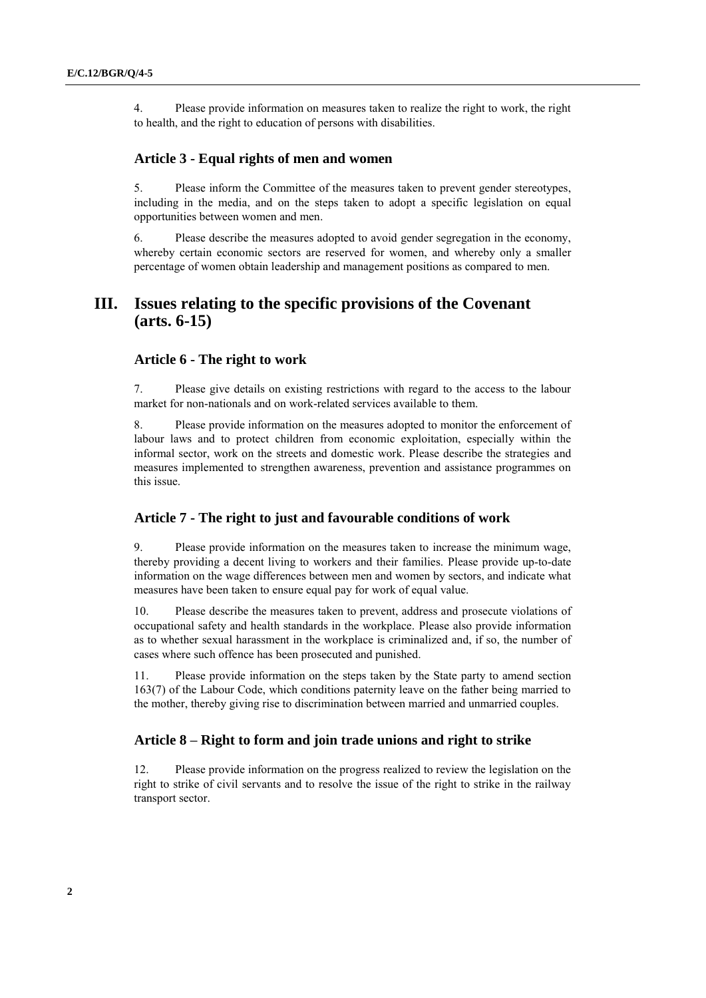4. Please provide information on measures taken to realize the right to work, the right to health, and the right to education of persons with disabilities.

#### **Article 3 - Equal rights of men and women**

5. Please inform the Committee of the measures taken to prevent gender stereotypes, including in the media, and on the steps taken to adopt a specific legislation on equal opportunities between women and men.

6. Please describe the measures adopted to avoid gender segregation in the economy, whereby certain economic sectors are reserved for women, and whereby only a smaller percentage of women obtain leadership and management positions as compared to men.

## **III. Issues relating to the specific provisions of the Covenant (arts. 6-15)**

#### **Article 6 - The right to work**

7. Please give details on existing restrictions with regard to the access to the labour market for non-nationals and on work-related services available to them.

8. Please provide information on the measures adopted to monitor the enforcement of labour laws and to protect children from economic exploitation, especially within the informal sector, work on the streets and domestic work. Please describe the strategies and measures implemented to strengthen awareness, prevention and assistance programmes on this issue.

#### **Article 7 - The right to just and favourable conditions of work**

9. Please provide information on the measures taken to increase the minimum wage, thereby providing a decent living to workers and their families. Please provide up-to-date information on the wage differences between men and women by sectors, and indicate what measures have been taken to ensure equal pay for work of equal value.

10. Please describe the measures taken to prevent, address and prosecute violations of occupational safety and health standards in the workplace. Please also provide information as to whether sexual harassment in the workplace is criminalized and, if so, the number of cases where such offence has been prosecuted and punished.

11. Please provide information on the steps taken by the State party to amend section 163(7) of the Labour Code, which conditions paternity leave on the father being married to the mother, thereby giving rise to discrimination between married and unmarried couples.

### **Article 8 – Right to form and join trade unions and right to strike**

12. Please provide information on the progress realized to review the legislation on the right to strike of civil servants and to resolve the issue of the right to strike in the railway transport sector.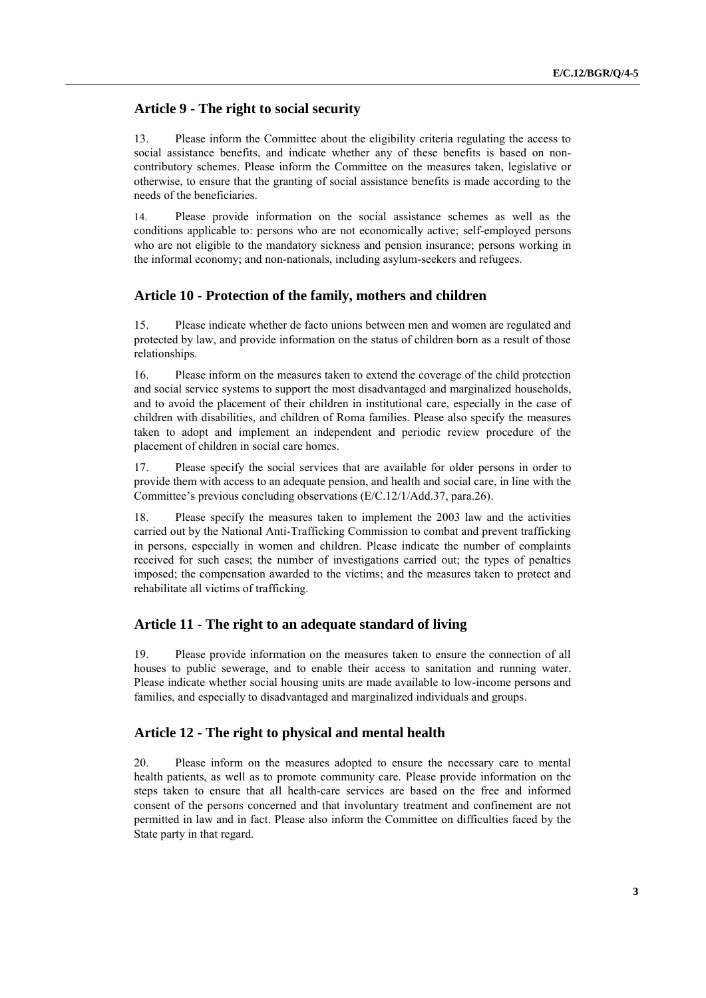## **Article 9 - The right to social security**

13. Please inform the Committee about the eligibility criteria regulating the access to social assistance benefits, and indicate whether any of these benefits is based on noncontributory schemes. Please inform the Committee on the measures taken, legislative or otherwise, to ensure that the granting of social assistance benefits is made according to the needs of the beneficiaries.

14. Please provide information on the social assistance schemes as well as the conditions applicable to: persons who are not economically active; self-employed persons who are not eligible to the mandatory sickness and pension insurance; persons working in the informal economy; and non-nationals, including asylum-seekers and refugees.

#### **Article 10 - Protection of the family, mothers and children**

15. Please indicate whether de facto unions between men and women are regulated and protected by law, and provide information on the status of children born as a result of those relationships.

16. Please inform on the measures taken to extend the coverage of the child protection and social service systems to support the most disadvantaged and marginalized households, and to avoid the placement of their children in institutional care, especially in the case of children with disabilities, and children of Roma families. Please also specify the measures taken to adopt and implement an independent and periodic review procedure of the placement of children in social care homes.

17. Please specify the social services that are available for older persons in order to provide them with access to an adequate pension, and health and social care, in line with the Committee's previous concluding observations (E/C.12/1/Add.37, para.26).

18. Please specify the measures taken to implement the 2003 law and the activities carried out by the National Anti-Trafficking Commission to combat and prevent trafficking in persons, especially in women and children. Please indicate the number of complaints received for such cases; the number of investigations carried out; the types of penalties imposed; the compensation awarded to the victims; and the measures taken to protect and rehabilitate all victims of trafficking.

#### **Article 11 - The right to an adequate standard of living**

19. Please provide information on the measures taken to ensure the connection of all houses to public sewerage, and to enable their access to sanitation and running water. Please indicate whether social housing units are made available to low-income persons and families, and especially to disadvantaged and marginalized individuals and groups.

### **Article 12 - The right to physical and mental health**

20. Please inform on the measures adopted to ensure the necessary care to mental health patients, as well as to promote community care. Please provide information on the steps taken to ensure that all health-care services are based on the free and informed consent of the persons concerned and that involuntary treatment and confinement are not permitted in law and in fact. Please also inform the Committee on difficulties faced by the State party in that regard.